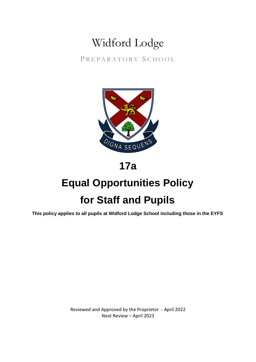## Widford Lodge

PREPARATORY SCHOOL



### **17a**

# **Equal Opportunities Policy for Staff and Pupils**

**This policy applies to all pupils at Widford Lodge School including those in the EYFS**

Reviewed and Approved by the Proprietor - April 2022 Next Review – April 2023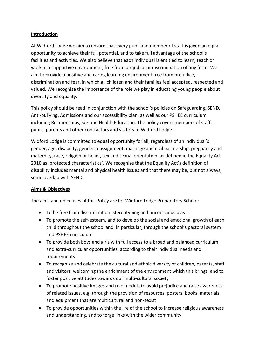#### **Introduction**

At Widford Lodge we aim to ensure that every pupil and member of staff is given an equal opportunity to achieve their full potential, and to take full advantage of the school's facilities and activities. We also believe that each individual is entitled to learn, teach or work in a supportive environment, free from prejudice or discrimination of any form. We aim to provide a positive and caring learning environment free from prejudice, discrimination and fear, in which all children and their families feel accepted, respected and valued. We recognise the importance of the role we play in educating young people about diversity and equality.

This policy should be read in conjunction with the school's policies on Safeguarding, SEND, Anti-bullying, Admissions and our accessibility plan, as well as our PSHEE curriculum including Relationships, Sex and Health Education. The policy covers members of staff, pupils, parents and other contractors and visitors to Widford Lodge.

Widford Lodge is committed to equal opportunity for all, regardless of an individual's gender, age, disability, gender reassignment, marriage and civil partnership, pregnancy and maternity, race, religion or belief, sex and sexual orientation, as defined in the Equality Act 2010 as 'protected characteristics'. We recognise that the Equality Act's definition of disability includes mental and physical health issues and that there may be, but not always, some overlap with SEND.

#### **Aims & Objectives**

The aims and objectives of this Policy are for Widford Lodge Preparatory School:

- To be free from discrimination, stereotyping and unconscious bias
- To promote the self-esteem, and to develop the social and emotional growth of each child throughout the school and, in particular, through the school's pastoral system and PSHEE curriculum
- To provide both boys and girls with full access to a broad and balanced curriculum and extra-curricular opportunities, according to their individual needs and requirements
- To recognise and celebrate the cultural and ethnic diversity of children, parents, staff and visitors, welcoming the enrichment of the environment which this brings, and to foster positive attitudes towards our multi-cultural society
- To promote positive images and role models to avoid prejudice and raise awareness of related issues, e.g. through the provision of resources, posters, books, materials and equipment that are multicultural and non-sexist
- To provide opportunities within the life of the school to increase religious awareness and understanding, and to forge links with the wider community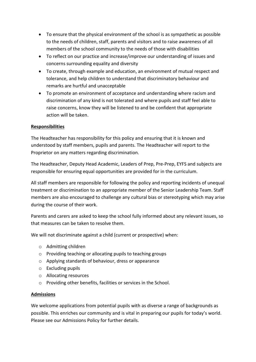- To ensure that the physical environment of the school is as sympathetic as possible to the needs of children, staff, parents and visitors and to raise awareness of all members of the school community to the needs of those with disabilities
- To reflect on our practice and increase/improve our understanding of issues and concerns surrounding equality and diversity
- To create, through example and education, an environment of mutual respect and tolerance, and help children to understand that discriminatory behaviour and remarks are hurtful and unacceptable
- To promote an environment of acceptance and understanding where racism and discrimination of any kind is not tolerated and where pupils and staff feel able to raise concerns, know they will be listened to and be confident that appropriate action will be taken.

#### **Responsibilities**

The Headteacher has responsibility for this policy and ensuring that it is known and understood by staff members, pupils and parents. The Headteacher will report to the Proprietor on any matters regarding discrimination.

The Headteacher, Deputy Head Academic, Leaders of Prep, Pre-Prep, EYFS and subjects are responsible for ensuring equal opportunities are provided for in the curriculum.

All staff members are responsible for following the policy and reporting incidents of unequal treatment or discrimination to an appropriate member of the Senior Leadership Team. Staff members are also encouraged to challenge any cultural bias or stereotyping which may arise during the course of their work.

Parents and carers are asked to keep the school fully informed about any relevant issues, so that measures can be taken to resolve them.

We will not discriminate against a child (current or prospective) when:

- o Admitting children
- o Providing teaching or allocating pupils to teaching groups
- o Applying standards of behaviour, dress or appearance
- o Excluding pupils
- o Allocating resources
- o Providing other benefits, facilities or services in the School.

#### **Admissions**

We welcome applications from potential pupils with as diverse a range of backgrounds as possible. This enriches our community and is vital in preparing our pupils for today's world. Please see our Admissions Policy for further details.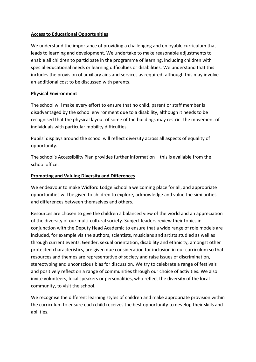#### **Access to Educational Opportunities**

We understand the importance of providing a challenging and enjoyable curriculum that leads to learning and development. We undertake to make reasonable adjustments to enable all children to participate in the programme of learning, including children with special educational needs or learning difficulties or disabilities. We understand that this includes the provision of auxiliary aids and services as required, although this may involve an additional cost to be discussed with parents.

#### **Physical Environment**

The school will make every effort to ensure that no child, parent or staff member is disadvantaged by the school environment due to a disability, although it needs to be recognised that the physical layout of some of the buildings may restrict the movement of individuals with particular mobility difficulties.

Pupils' displays around the school will reflect diversity across all aspects of equality of opportunity.

The school's Accessibility Plan provides further information – this is available from the school office.

#### **Promoting and Valuing Diversity and Differences**

We endeavour to make Widford Lodge School a welcoming place for all, and appropriate opportunities will be given to children to explore, acknowledge and value the similarities and differences between themselves and others.

Resources are chosen to give the children a balanced view of the world and an appreciation of the diversity of our multi-cultural society. Subject leaders review their topics in conjunction with the Deputy Head Academic to ensure that a wide range of role models are included, for example via the authors, scientists, musicians and artists studied as well as through current events. Gender, sexual orientation, disability and ethnicity, amongst other protected characteristics, are given due consideration for inclusion in our curriculum so that resources and themes are representative of society and raise issues of discrimination, stereotyping and unconscious bias for discussion. We try to celebrate a range of festivals and positively reflect on a range of communities through our choice of activities. We also invite volunteers, local speakers or personalities, who reflect the diversity of the local community, to visit the school.

We recognise the different learning styles of children and make appropriate provision within the curriculum to ensure each child receives the best opportunity to develop their skills and abilities.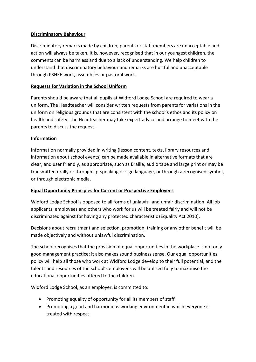#### **Discriminatory Behaviour**

Discriminatory remarks made by children, parents or staff members are unacceptable and action will always be taken. It is, however, recognised that in our youngest children, the comments can be harmless and due to a lack of understanding. We help children to understand that discriminatory behaviour and remarks are hurtful and unacceptable through PSHEE work, assemblies or pastoral work.

#### **Requests for Variation in the School Uniform**

Parents should be aware that all pupils at Widford Lodge School are required to wear a uniform. The Headteacher will consider written requests from parents for variations in the uniform on religious grounds that are consistent with the school's ethos and its policy on health and safety. The Headteacher may take expert advice and arrange to meet with the parents to discuss the request.

#### **Information**

Information normally provided in writing (lesson content, texts, library resources and information about school events) can be made available in alternative formats that are clear, and user friendly, as appropriate, such as Braille, audio tape and large print or may be transmitted orally or through lip-speaking or sign language, or through a recognised symbol, or through electronic media.

#### **Equal Opportunity Principles for Current or Prospective Employees**

Widford Lodge School is opposed to all forms of unlawful and unfair discrimination. All job applicants, employees and others who work for us will be treated fairly and will not be discriminated against for having any protected characteristic (Equality Act 2010).

Decisions about recruitment and selection, promotion, training or any other benefit will be made objectively and without unlawful discrimination.

The school recognises that the provision of equal opportunities in the workplace is not only good management practice; it also makes sound business sense. Our equal opportunities policy will help all those who work at Widford Lodge develop to their full potential, and the talents and resources of the school's employees will be utilised fully to maximise the educational opportunities offered to the children.

Widford Lodge School, as an employer, is committed to:

- Promoting equality of opportunity for all its members of staff
- Promoting a good and harmonious working environment in which everyone is treated with respect